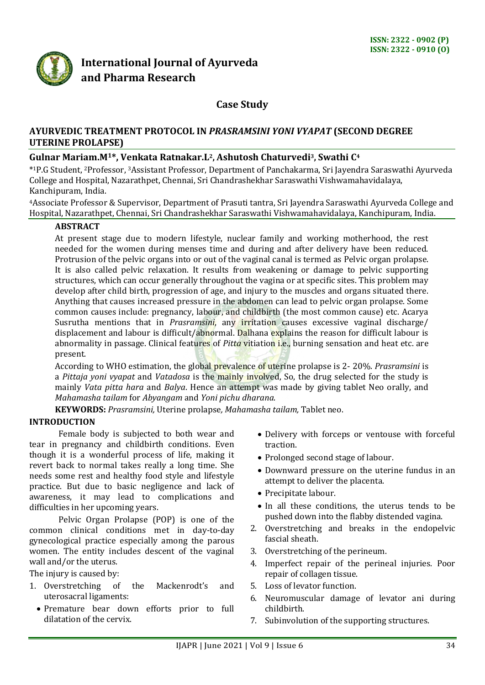

# **International Journal of Ayurveda and Pharma Research**

# **Case Study**

# **AYURVEDIC TREATMENT PROTOCOL IN** *PRASRAMSINI YONI VYAPAT* **(SECOND DEGREE UTERINE PROLAPSE)**

# **Gulnar Mariam.M1\*, Venkata Ratnakar.L2, Ashutosh Chaturvedi3, Swathi C<sup>4</sup>**

\* <sup>1</sup>P.G Student, <sup>2</sup>Professor, 3Assistant Professor, Department of Panchakarma, Sri Jayendra Saraswathi Ayurveda College and Hospital, Nazarathpet, Chennai, Sri Chandrashekhar Saraswathi Vishwamahavidalaya, Kanchipuram, India.

<sup>4</sup>Associate Professor & Supervisor, Department of Prasuti tantra, Sri Jayendra Saraswathi Ayurveda College and Hospital, Nazarathpet, Chennai, Sri Chandrashekhar Saraswathi Vishwamahavidalaya, Kanchipuram, India.

# **ABSTRACT**

At present stage due to modern lifestyle, nuclear family and working motherhood, the rest needed for the women during menses time and during and after delivery have been reduced. Protrusion of the pelvic organs into or out of the vaginal canal is termed as Pelvic organ prolapse. It is also called pelvic relaxation. It results from weakening or damage to pelvic supporting structures, which can occur generally throughout the vagina or at specific sites. This problem may develop after child birth, progression of age, and injury to the muscles and organs situated there. Anything that causes increased pressure in the abdomen can lead to pelvic organ prolapse. Some common causes include: pregnancy, labour, and childbirth (the most common cause) etc. Acarya Susrutha mentions that in *Prasramsini*, any irritation causes excessive vaginal discharge/ displacement and labour is difficult/abnormal. Dalhana explains the reason for difficult labour is abnormality in passage. Clinical features of *Pitta* vitiation i.e., burning sensation and heat etc. are present.

According to WHO estimation, the global prevalence of uterine prolapse is 2- 20%. *Prasramsini* is a *Pittaja yoni vyapat* and *Vatadosa* is the mainly involved, So, the drug selected for the study is mainly *Vata pitta hara* and *Balya*. Hence an attempt was made by giving tablet Neo orally, and *Mahamasha tailam* for *Abyangam* and *Yoni pichu dharana*.

**KEYWORDS:** *Prasramsini,* Uterine prolapse*, Mahamasha tailam,* Tablet neo.

### **INTRODUCTION**

Female body is subjected to both wear and tear in pregnancy and childbirth conditions. Even though it is a wonderful process of life, making it revert back to normal takes really a long time. She needs some rest and healthy food style and lifestyle practice. But due to basic negligence and lack of awareness, it may lead to complications and difficulties in her upcoming years.

Pelvic Organ Prolapse (POP) is one of the common clinical conditions met in day-to-day gynecological practice especially among the parous women. The entity includes descent of the vaginal wall and/or the uterus.

The injury is caused by:

- 1. Overstretching of the Mackenrodt's and uterosacral ligaments:
	- Premature bear down efforts prior to full dilatation of the cervix.
- Delivery with forceps or ventouse with forceful traction.
- Prolonged second stage of labour.
- Downward pressure on the uterine fundus in an attempt to deliver the placenta.
- Precipitate labour.
- In all these conditions, the uterus tends to be pushed down into the flabby distended vagina.
- 2. Overstretching and breaks in the endopelvic fascial sheath.
- 3. Overstretching of the perineum.
- 4. Imperfect repair of the perineal injuries. Poor repair of collagen tissue.
- 5. Loss of levator function.
- 6. Neuromuscular damage of levator ani during childbirth.
- 7. Subinvolution of the supporting structures.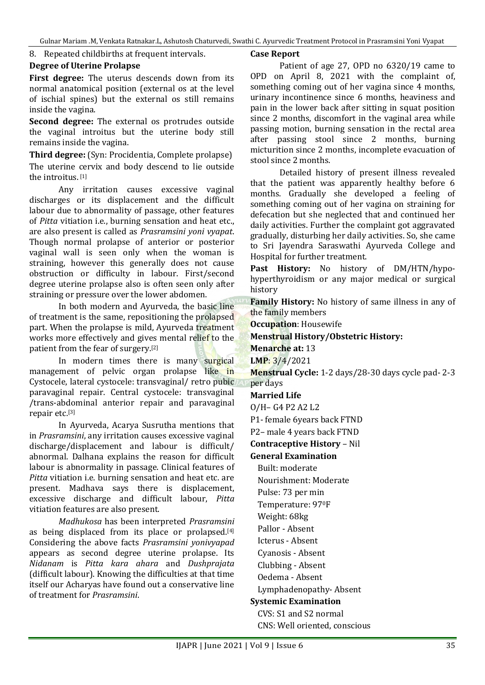8. Repeated childbirths at frequent intervals.

### **Degree of Uterine Prolapse**

**First degree:** The uterus descends down from its normal anatomical position (external os at the level of ischial spines) but the external os still remains inside the vagina.

**Second degree:** The external os protrudes outside the vaginal introitus but the uterine body still remains inside the vagina.

**Third degree:** (Syn: Procidentia, Complete prolapse) The uterine cervix and body descend to lie outside the introitus. [1]

Any irritation causes excessive vaginal discharges or its displacement and the difficult labour due to abnormality of passage, other features of *Pitta* vitiation i.e., burning sensation and heat etc., are also present is called as *Prasramsini yoni vyapat*. Though normal prolapse of anterior or posterior vaginal wall is seen only when the woman is straining, however this generally does not cause obstruction or difficulty in labour. First/second degree uterine prolapse also is often seen only after straining or pressure over the lower abdomen.

In both modern and Ayurveda, the basic line of treatment is the same, repositioning the prolapsed part. When the prolapse is mild, Ayurveda treatment works more effectively and gives mental relief to the patient from the fear of surgery.[2]

In modern times there is many surgical management of pelvic organ prolapse like in Cystocele, lateral cystocele: transvaginal/ retro pubic paravaginal repair. Central cystocele: transvaginal /trans-abdominal anterior repair and paravaginal repair etc.[3]

In Ayurveda, Acarya Susrutha mentions that in *Prasramsini*, any irritation causes excessive vaginal discharge/displacement and labour is difficult/ abnormal. Dalhana explains the reason for difficult labour is abnormality in passage. Clinical features of *Pitta* vitiation i.e. burning sensation and heat etc. are present. Madhava says there is displacement, excessive discharge and difficult labour, *Pitta* vitiation features are also present.

*Madhukosa* has been interpreted *Prasramsini* as being displaced from its place or prolapsed.<sup>[4]</sup> Considering the above facts *Prasramsini yonivyapad* appears as second degree uterine prolapse. Its *Nidanam* is *Pitta kara ahara* and *Dushprajata* (difficult labour). Knowing the difficulties at that time itself our Acharyas have found out a conservative line of treatment for *Prasramsini*.

#### **Case Report**

Patient of age 27, OPD no 6320/19 came to OPD on April 8, 2021 with the complaint of, something coming out of her vagina since 4 months, urinary incontinence since 6 months, heaviness and pain in the lower back after sitting in squat position since 2 months, discomfort in the vaginal area while passing motion, burning sensation in the rectal area after passing stool since 2 months, burning micturition since 2 months, incomplete evacuation of stool since 2 months.

Detailed history of present illness revealed that the patient was apparently healthy before 6 months. Gradually she developed a feeling of something coming out of her vagina on straining for defecation but she neglected that and continued her daily activities. Further the complaint got aggravated gradually, disturbing her daily activities. So, she came to Sri Jayendra Saraswathi Ayurveda College and Hospital for further treatment.

**Past History:** No history of DM/HTN/hypohyperthyroidism or any major medical or surgical history

**Family History:** No history of same illness in any of the family members

**Occupation**: Housewife

# **Menstrual History/Obstetric History:**

**Menarche at:** 13

**LMP**: 3/4/2021

**Menstrual Cycle:** 1-2 days/28-30 days cycle pad- 2-3 per days

# **Married Life**

O/H– G4 P2 A2 L2

P1- female 6years back FTND

P2– male 4 years back FTND

**Contraceptive History** – Nil

**General Examination**

Built: moderate

Nourishment: Moderate

Pulse: 73 per min

Temperature: 970F

Weight: 68kg

Pallor - Absent

Icterus - Absent

Cyanosis - Absent

Clubbing - Absent

Oedema - Absent

Lymphadenopathy- Absent

# **Systemic Examination**

CVS: S1 and S2 normal CNS: Well oriented, conscious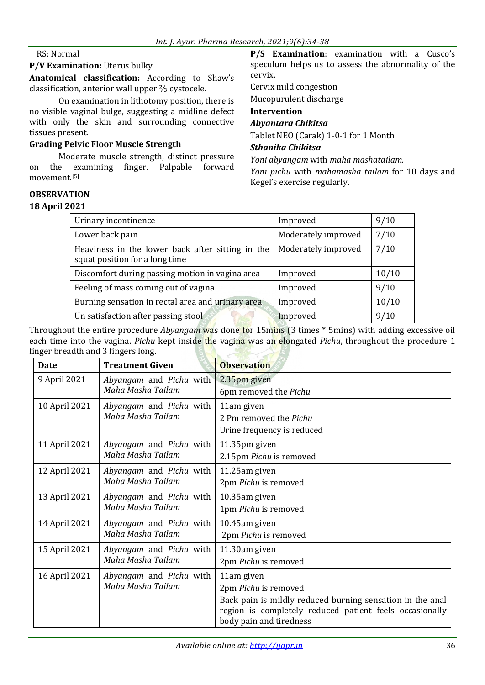### RS: Normal

#### **P/V Examination:** Uterus bulky

**Anatomical classification:** According to Shaw's classification, anterior wall upper ⅔ cystocele.

On examination in lithotomy position, there is no visible vaginal bulge, suggesting a midline defect with only the skin and surrounding connective tissues present.

### **Grading Pelvic Floor Muscle Strength**

Moderate muscle strength, distinct pressure on the examining finger. Palpable forward movement.[5]

### **OBSERVATION**

#### **18 April 2021**

**P/S Examination**: examination with a Cusco's speculum helps us to assess the abnormality of the cervix.

Cervix mild congestion

Mucopurulent discharge

# **Intervention**

### *Abyantara Chikitsa*

Tablet NEO (Carak) 1-0-1 for 1 Month

### *Sthanika Chikitsa*

*Yoni abyangam* with *maha mashatailam.*

*Yoni pichu* with *mahamasha tailam* for 10 days and Kegel's exercise regularly.

| Urinary incontinence                                                               | Improved            | 9/10  |
|------------------------------------------------------------------------------------|---------------------|-------|
| Lower back pain                                                                    | Moderately improved | 7/10  |
| Heaviness in the lower back after sitting in the<br>squat position for a long time | Moderately improved | 7/10  |
| Discomfort during passing motion in vagina area                                    | Improved            | 10/10 |
| Feeling of mass coming out of vagina                                               | Improved            | 9/10  |
| Burning sensation in rectal area and urinary area                                  | Improved            | 10/10 |
| Un satisfaction after passing stool                                                | Improved            | 9/10  |

Throughout the entire procedure *Abyangam* was done for 15mins (3 times \* 5mins) with adding excessive oil each time into the vagina. *Pichu* kept inside the vagina was an elongated *Pichu*, throughout the procedure 1 finger breadth and 3 fingers long.  $\overline{5}$ 

| <b>Date</b>   | <b>Treatment Given</b>                       | <b>Observation</b>                                        |
|---------------|----------------------------------------------|-----------------------------------------------------------|
| 9 April 2021  | Abyangam and Pichu with<br>Maha Masha Tailam | 2.35pm given                                              |
|               |                                              | 6pm removed the Pichu                                     |
| 10 April 2021 | Abyangam and Pichu with<br>Maha Masha Tailam | 11am given                                                |
|               |                                              | 2 Pm removed the Pichu                                    |
|               |                                              | Urine frequency is reduced                                |
| 11 April 2021 | Abyangam and Pichu with<br>Maha Masha Tailam | 11.35pm given                                             |
|               |                                              | 2.15pm Pichu is removed                                   |
| 12 April 2021 | Abyangam and Pichu with<br>Maha Masha Tailam | 11.25am given                                             |
|               |                                              | 2pm Pichu is removed                                      |
| 13 April 2021 | Abyangam and Pichu with<br>Maha Masha Tailam | 10.35am given                                             |
|               |                                              | 1pm Pichu is removed                                      |
| 14 April 2021 | Abyangam and Pichu with<br>Maha Masha Tailam | 10.45am given                                             |
|               |                                              | 2pm Pichu is removed                                      |
| 15 April 2021 | Abyangam and Pichu with<br>Maha Masha Tailam | 11.30am given                                             |
|               |                                              | 2pm Pichu is removed                                      |
| 16 April 2021 | Abyangam and Pichu with<br>Maha Masha Tailam | 11am given                                                |
|               |                                              | 2pm Pichu is removed                                      |
|               |                                              | Back pain is mildly reduced burning sensation in the anal |
|               |                                              | region is completely reduced patient feels occasionally   |
|               |                                              | body pain and tiredness                                   |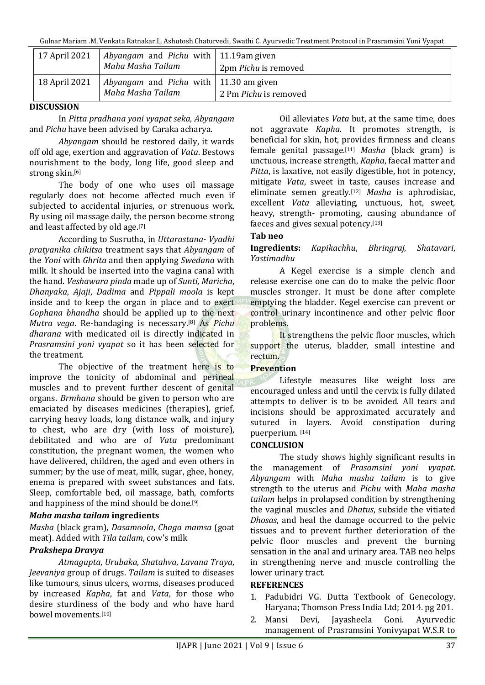Gulnar Mariam .M, Venkata Ratnakar.L, Ashutosh Chaturvedi, Swathi C. Ayurvedic Treatment Protocol in Prasramsini Yoni Vyapat

| 17 April 2021 | Abyangam and Pichu with   11.19am given<br>Maha Masha Tailam                | 2pm Pichu is removed  |
|---------------|-----------------------------------------------------------------------------|-----------------------|
| 18 April 2021 | <i>Abyangam</i> and <i>Pichu</i> with   11.30 am given<br>Maha Masha Tailam | 2 Pm Pichu is removed |

# **DISCUSSION**

In *Pitta pradhana yoni vyapat seka*, *Abyangam* and *Pichu* have been advised by Caraka acharya.

*Abyangam* should be restored daily, it wards off old age, exertion and aggravation of *Vata*. Bestows nourishment to the body, long life, good sleep and strong skin.[6]

The body of one who uses oil massage regularly does not become affected much even if subjected to accidental injuries, or strenuous work. By using oil massage daily, the person become strong and least affected by old age.[7]

According to Susrutha, in *Uttarastana*- *Vyadhi pratyanika chikitsa* treatment says that *Abyangam* of the *Yoni* with *Ghrita* and then applying *Swedana* with milk. It should be inserted into the vagina canal with the hand. *Veshawara pinda* made up of *Sunti*, *Maricha*, *Dhanyaka*, *Ajaji*, *Dadima* and *Pippali moola* is kept inside and to keep the organ in place and to exert *Gophana bhandha* should be applied up to the next *Mutra vega*. Re-bandaging is necessary.[8] As *Pichu dharana* with medicated oil is directly indicated in *Prasramsini yoni vyapat* so it has been selected for the treatment.

The objective of the treatment here is to improve the tonicity of abdominal and perineal muscles and to prevent further descent of genital organs. *Brmhana* should be given to person who are emaciated by diseases medicines (therapies), grief, carrying heavy loads, long distance walk, and injury to chest, who are dry (with loss of moisture), debilitated and who are of *Vata* predominant constitution, the pregnant women, the women who have delivered, children, the aged and even others in summer; by the use of meat, milk, sugar, ghee, honey, enema is prepared with sweet substances and fats. Sleep, comfortable bed, oil massage, bath, comforts and happiness of the mind should be done.[9]

# *Maha masha tailam* **ingredients**

*Masha* (black gram), *Dasamoola*, *Chaga mamsa* (goat meat). Added with *Tila tailam*, cow's milk

# *Prakshepa Dravya*

*Atmagupta*, *Urubaka*, *Shatahva*, *Lavana Traya*, *Jeevaniya* group of drugs. *Tailam* is suited to diseases like tumours, sinus ulcers, worms, diseases produced by increased *Kapha*, fat and *Vata*, for those who desire sturdiness of the body and who have hard bowel movements. [10]

Oil alleviates *Vata* but, at the same time, does not aggravate *Kapha*. It promotes strength, is beneficial for skin, hot, provides firmness and cleans female genital passage. [11] *Masha* (black gram) is unctuous, increase strength, *Kapha*, faecal matter and *Pitta*, is laxative, not easily digestible, hot in potency, mitigate *Vata*, sweet in taste, causes increase and eliminate semen greatly. [12] *Masha* is aphrodisiac, excellent *Vata* alleviating, unctuous, hot, sweet, heavy, strength- promoting, causing abundance of faeces and gives sexual potency.[13]

# **Tab neo**

### **Ingredients:** *Kapikachhu*, *Bhringraj*, *Shatavari*, *Yastimadhu*

A Kegel exercise is a simple clench and release exercise one can do to make the pelvic floor muscles stronger. It must be done after complete emptying the bladder. Kegel exercise can prevent or control urinary incontinence and other pelvic floor problems.

It strengthens the pelvic floor muscles, which support the uterus, bladder, small intestine and rectum.

# **Prevention**

Lifestyle measures like weight loss are encouraged unless and until the cervix is fully dilated attempts to deliver is to be avoided. All tears and incisions should be approximated accurately and sutured in layers. Avoid constipation during puerperium. [14]

# **CONCLUSION**

The study shows highly significant results in the management of *Prasamsini yoni vyapat*. *Abyangam* with *Maha masha tailam* is to give strength to the uterus and *Pichu* with *Maha masha tailam* helps in prolapsed condition by strengthening the vaginal muscles and *Dhatus*, subside the vitiated *Dhosas*, and heal the damage occurred to the pelvic tissues and to prevent further deterioration of the pelvic floor muscles and prevent the burning sensation in the anal and urinary area. TAB neo helps in strengthening nerve and muscle controlling the lower urinary tract.

### **REFERENCES**

- 1. Padubidri VG. Dutta Textbook of Genecology. Haryana; Thomson Press India Ltd; 2014. pg 201.
- 2. Mansi Devi, Jayasheela Goni. Ayurvedic management of Prasramsini Yonivyapat W.S.R to